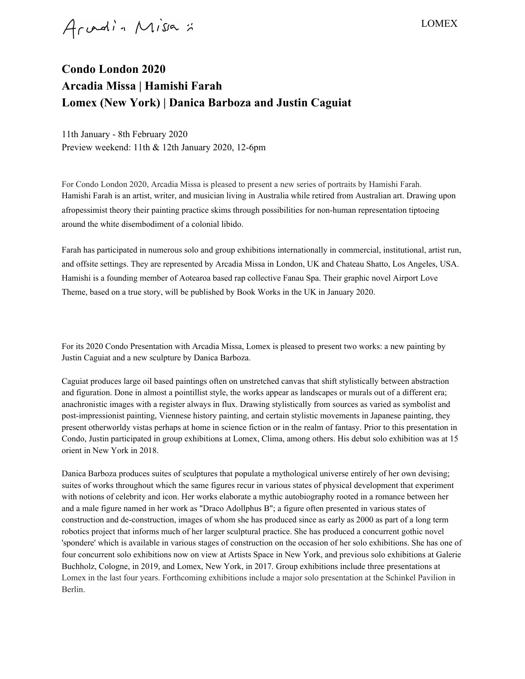Arvadin Missa :

## LOMEX

## **Condo London 2020 Arcadia Missa | Hamishi Farah Lomex (New York) | Danica Barboza and Justin Caguiat**

11th January - 8th February 2020 Preview weekend: 11th & 12th January 2020, 12-6pm

For Condo London 2020, Arcadia Missa is pleased to present a new series of portraits by Hamishi Farah. Hamishi Farah is an artist, writer, and musician living in Australia while retired from Australian art. Drawing upon afropessimist theory their painting practice skims through possibilities for non-human representation tiptoeing around the white disembodiment of a colonial libido.

Farah has participated in numerous solo and group exhibitions internationally in commercial, institutional, artist run, and offsite settings. They are represented by Arcadia Missa in London, UK and Chateau Shatto, Los Angeles, USA. Hamishi is a founding member of Aotearoa based rap collective Fanau Spa. Their graphic novel Airport Love Theme, based on a true story, will be published by Book Works in the UK in January 2020.

For its 2020 Condo Presentation with Arcadia Missa, Lomex is pleased to present two works: a new painting by Justin Caguiat and a new sculpture by Danica Barboza.

Caguiat produces large oil based paintings often on unstretched canvas that shift stylistically between abstraction and figuration. Done in almost a pointillist style, the works appear as landscapes or murals out of a different era; anachronistic images with a register always in flux. Drawing stylistically from sources as varied as symbolist and post-impressionist painting, Viennese history painting, and certain stylistic movements in Japanese painting, they present otherworldy vistas perhaps at home in science fiction or in the realm of fantasy. Prior to this presentation in Condo, Justin participated in group exhibitions at Lomex, Clima, among others. His debut solo exhibition was at 15 orient in New York in 2018.

Danica Barboza produces suites of sculptures that populate a mythological universe entirely of her own devising; suites of works throughout which the same figures recur in various states of physical development that experiment with notions of celebrity and icon. Her works elaborate a mythic autobiography rooted in a romance between her and a male figure named in her work as "Draco Adollphus B"; a figure often presented in various states of construction and de-construction, images of whom she has produced since as early as 2000 as part of a long term robotics project that informs much of her larger sculptural practice. She has produced a concurrent gothic novel 'spondere' which is available in various stages of construction on the occasion of her solo exhibitions. She has one of four concurrent solo exhibitions now on view at Artists Space in New York, and previous solo exhibitions at Galerie Buchholz, Cologne, in 2019, and Lomex, New York, in 2017. Group exhibitions include three presentations at Lomex in the last four years. Forthcoming exhibitions include a major solo presentation at the Schinkel Pavilion in Berlin.